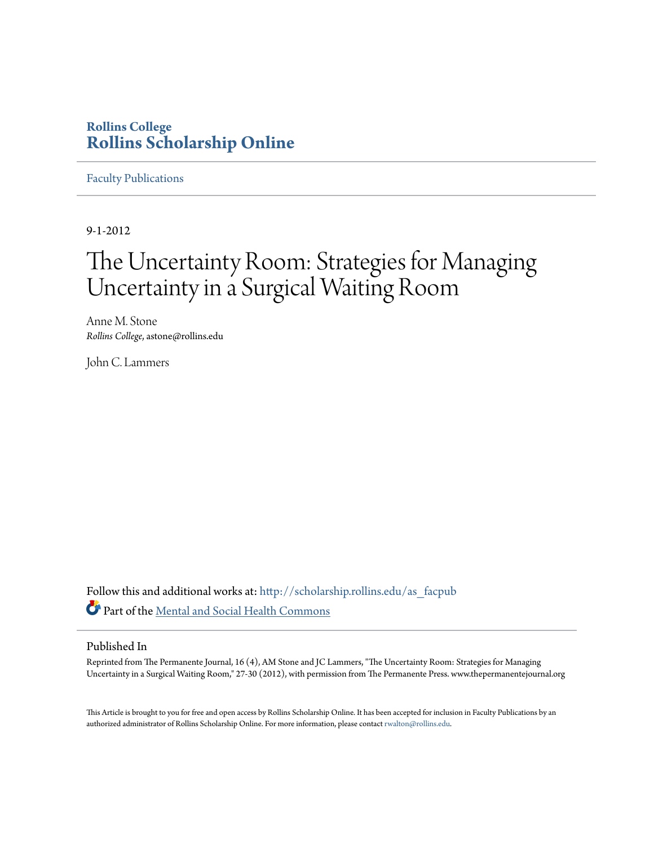# **Rollins College [Rollins Scholarship Online](http://scholarship.rollins.edu?utm_source=scholarship.rollins.edu%2Fas_facpub%2F77&utm_medium=PDF&utm_campaign=PDFCoverPages)**

[Faculty Publications](http://scholarship.rollins.edu/as_facpub?utm_source=scholarship.rollins.edu%2Fas_facpub%2F77&utm_medium=PDF&utm_campaign=PDFCoverPages)

9-1-2012

# The Uncertainty Room: Strategies for Managing Uncertainty in a Surgical Waiting Room

Anne M. Stone *Rollins College*, astone@rollins.edu

John C. Lammers

Follow this and additional works at: [http://scholarship.rollins.edu/as\\_facpub](http://scholarship.rollins.edu/as_facpub?utm_source=scholarship.rollins.edu%2Fas_facpub%2F77&utm_medium=PDF&utm_campaign=PDFCoverPages) Part of the [Mental and Social Health Commons](http://network.bepress.com/hgg/discipline/709?utm_source=scholarship.rollins.edu%2Fas_facpub%2F77&utm_medium=PDF&utm_campaign=PDFCoverPages)

## Published In

Reprinted from The Permanente Journal, 16 (4), AM Stone and JC Lammers, "The Uncertainty Room: Strategies for Managing Uncertainty in a Surgical Waiting Room," 27-30 (2012), with permission from The Permanente Press. www.thepermanentejournal.org

This Article is brought to you for free and open access by Rollins Scholarship Online. It has been accepted for inclusion in Faculty Publications by an authorized administrator of Rollins Scholarship Online. For more information, please contact [rwalton@rollins.edu](mailto:rwalton@rollins.edu).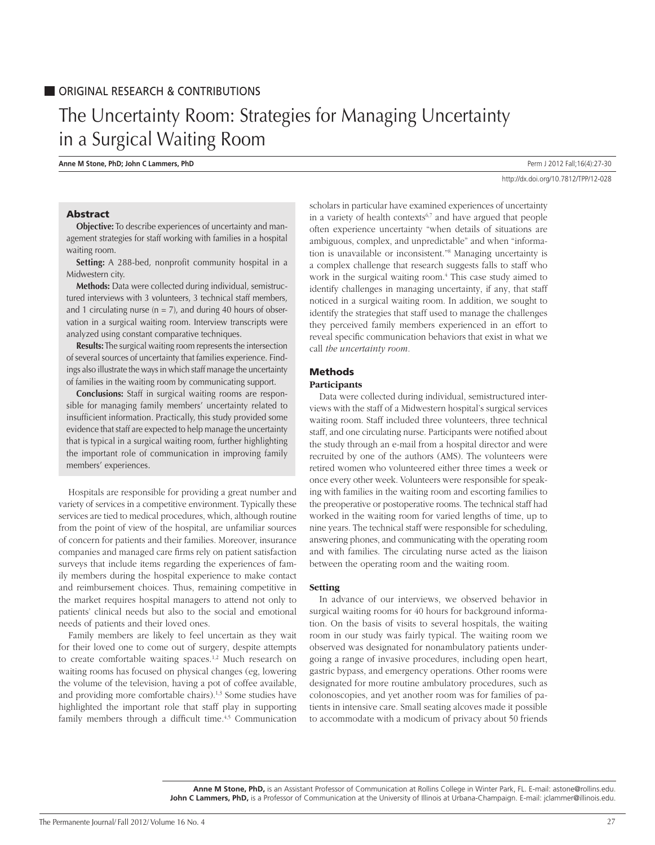# The Uncertainty Room: Strategies for Managing Uncertainty in a Surgical Waiting Room

**Anne M Stone, PhD; John C Lammers, PhD Perm J 2012 Fall**;16(4):27-30

http://dx.doi.org/10.7812/TPP/12-028

## Abstract

**Objective:** To describe experiences of uncertainty and management strategies for staff working with families in a hospital waiting room.

**Setting:** A 288-bed, nonprofit community hospital in a Midwestern city.

**Methods:** Data were collected during individual, semistructured interviews with 3 volunteers, 3 technical staff members, and 1 circulating nurse ( $n = 7$ ), and during 40 hours of observation in a surgical waiting room. Interview transcripts were analyzed using constant comparative techniques.

**Results:**The surgical waiting room represents the intersection of several sources of uncertainty that families experience. Findings also illustrate the ways in which staff manage the uncertainty of families in the waiting room by communicating support.

**Conclusions:** Staff in surgical waiting rooms are responsible for managing family members' uncertainty related to insufficient information. Practically, this study provided some evidence that staff are expected to help manage the uncertainty that is typical in a surgical waiting room, further highlighting the important role of communication in improving family members' experiences.

Hospitals are responsible for providing a great number and variety of services in a competitive environment. Typically these services are tied to medical procedures, which, although routine from the point of view of the hospital, are unfamiliar sources of concern for patients and their families. Moreover, insurance companies and managed care firms rely on patient satisfaction surveys that include items regarding the experiences of family members during the hospital experience to make contact and reimbursement choices. Thus, remaining competitive in the market requires hospital managers to attend not only to patients' clinical needs but also to the social and emotional needs of patients and their loved ones.

Family members are likely to feel uncertain as they wait for their loved one to come out of surgery, despite attempts to create comfortable waiting spaces.<sup>1,2</sup> Much research on waiting rooms has focused on physical changes (eg, lowering the volume of the television, having a pot of coffee available, and providing more comfortable chairs).<sup>1,3</sup> Some studies have highlighted the important role that staff play in supporting family members through a difficult time.<sup>4,5</sup> Communication

scholars in particular have examined experiences of uncertainty in a variety of health contexts<sup> $6,7$ </sup> and have argued that people often experience uncertainty "when details of situations are ambiguous, complex, and unpredictable" and when "information is unavailable or inconsistent."8 Managing uncertainty is a complex challenge that research suggests falls to staff who work in the surgical waiting room.4 This case study aimed to identify challenges in managing uncertainty, if any, that staff noticed in a surgical waiting room. In addition, we sought to identify the strategies that staff used to manage the challenges they perceived family members experienced in an effort to reveal specific communication behaviors that exist in what we call *the uncertainty room.*

# Methods

#### **Participants**

Data were collected during individual, semistructured interviews with the staff of a Midwestern hospital's surgical services waiting room. Staff included three volunteers, three technical staff, and one circulating nurse. Participants were notified about the study through an e-mail from a hospital director and were recruited by one of the authors (AMS). The volunteers were retired women who volunteered either three times a week or once every other week. Volunteers were responsible for speaking with families in the waiting room and escorting families to the preoperative or postoperative rooms. The technical staff had worked in the waiting room for varied lengths of time, up to nine years. The technical staff were responsible for scheduling, answering phones, and communicating with the operating room and with families. The circulating nurse acted as the liaison between the operating room and the waiting room.

#### **Setting**

In advance of our interviews, we observed behavior in surgical waiting rooms for 40 hours for background information. On the basis of visits to several hospitals, the waiting room in our study was fairly typical. The waiting room we observed was designated for nonambulatory patients undergoing a range of invasive procedures, including open heart, gastric bypass, and emergency operations. Other rooms were designated for more routine ambulatory procedures, such as colonoscopies, and yet another room was for families of patients in intensive care. Small seating alcoves made it possible to accommodate with a modicum of privacy about 50 friends

**Anne M Stone, PhD,** is an Assistant Professor of Communication at Rollins College in Winter Park, FL. E-mail: astone@rollins.edu. John C Lammers, PhD, is a Professor of Communication at the University of Illinois at Urbana-Champaign. E-mail: jclammer@illinois.edu.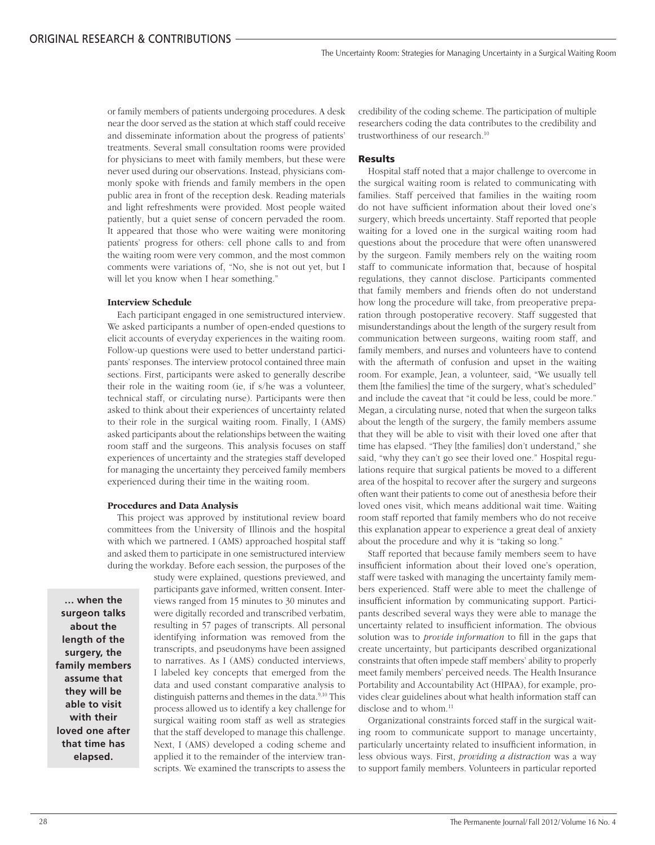or family members of patients undergoing procedures. A desk near the door served as the station at which staff could receive and disseminate information about the progress of patients' treatments. Several small consultation rooms were provided for physicians to meet with family members, but these were never used during our observations. Instead, physicians commonly spoke with friends and family members in the open public area in front of the reception desk. Reading materials and light refreshments were provided. Most people waited patiently, but a quiet sense of concern pervaded the room. It appeared that those who were waiting were monitoring patients' progress for others: cell phone calls to and from the waiting room were very common, and the most common comments were variations of, "No, she is not out yet, but I will let you know when I hear something."

### **Interview Schedule**

Each participant engaged in one semistructured interview. We asked participants a number of open-ended questions to elicit accounts of everyday experiences in the waiting room. Follow-up questions were used to better understand participants' responses. The interview protocol contained three main sections. First, participants were asked to generally describe their role in the waiting room (ie, if s/he was a volunteer, technical staff, or circulating nurse). Participants were then asked to think about their experiences of uncertainty related to their role in the surgical waiting room. Finally, I (AMS) asked participants about the relationships between the waiting room staff and the surgeons. This analysis focuses on staff experiences of uncertainty and the strategies staff developed for managing the uncertainty they perceived family members experienced during their time in the waiting room.

#### **Procedures and Data Analysis**

This project was approved by institutional review board committees from the University of Illinois and the hospital with which we partnered. I (AMS) approached hospital staff and asked them to participate in one semistructured interview during the workday. Before each session, the purposes of the

**… when the surgeon talks about the length of the surgery, the family members assume that they will be able to visit with their loved one after that time has elapsed.**

study were explained, questions previewed, and participants gave informed, written consent. Interviews ranged from 15 minutes to 30 minutes and were digitally recorded and transcribed verbatim, resulting in 57 pages of transcripts. All personal identifying information was removed from the transcripts, and pseudonyms have been assigned to narratives. As I (AMS) conducted interviews, I labeled key concepts that emerged from the data and used constant comparative analysis to distinguish patterns and themes in the data.<sup>9,10</sup> This process allowed us to identify a key challenge for surgical waiting room staff as well as strategies that the staff developed to manage this challenge. Next, I (AMS) developed a coding scheme and applied it to the remainder of the interview transcripts. We examined the transcripts to assess the

credibility of the coding scheme. The participation of multiple researchers coding the data contributes to the credibility and trustworthiness of our research.10

#### Results

Hospital staff noted that a major challenge to overcome in the surgical waiting room is related to communicating with families. Staff perceived that families in the waiting room do not have sufficient information about their loved one's surgery, which breeds uncertainty. Staff reported that people waiting for a loved one in the surgical waiting room had questions about the procedure that were often unanswered by the surgeon. Family members rely on the waiting room staff to communicate information that, because of hospital regulations, they cannot disclose. Participants commented that family members and friends often do not understand how long the procedure will take, from preoperative preparation through postoperative recovery. Staff suggested that misunderstandings about the length of the surgery result from communication between surgeons, waiting room staff, and family members, and nurses and volunteers have to contend with the aftermath of confusion and upset in the waiting room. For example, Jean, a volunteer, said, "We usually tell them [the families] the time of the surgery, what's scheduled" and include the caveat that "it could be less, could be more." Megan, a circulating nurse, noted that when the surgeon talks about the length of the surgery, the family members assume that they will be able to visit with their loved one after that time has elapsed. "They [the families] don't understand," she said, "why they can't go see their loved one." Hospital regulations require that surgical patients be moved to a different area of the hospital to recover after the surgery and surgeons often want their patients to come out of anesthesia before their loved ones visit, which means additional wait time. Waiting room staff reported that family members who do not receive this explanation appear to experience a great deal of anxiety about the procedure and why it is "taking so long."

Staff reported that because family members seem to have insufficient information about their loved one's operation, staff were tasked with managing the uncertainty family members experienced. Staff were able to meet the challenge of insufficient information by communicating support. Participants described several ways they were able to manage the uncertainty related to insufficient information. The obvious solution was to *provide information* to fill in the gaps that create uncertainty, but participants described organizational constraints that often impede staff members' ability to properly meet family members' perceived needs. The Health Insurance Portability and Accountability Act (HIPAA), for example, provides clear guidelines about what health information staff can disclose and to whom.<sup>11</sup>

Organizational constraints forced staff in the surgical waiting room to communicate support to manage uncertainty, particularly uncertainty related to insufficient information, in less obvious ways. First, *providing a distraction* was a way to support family members. Volunteers in particular reported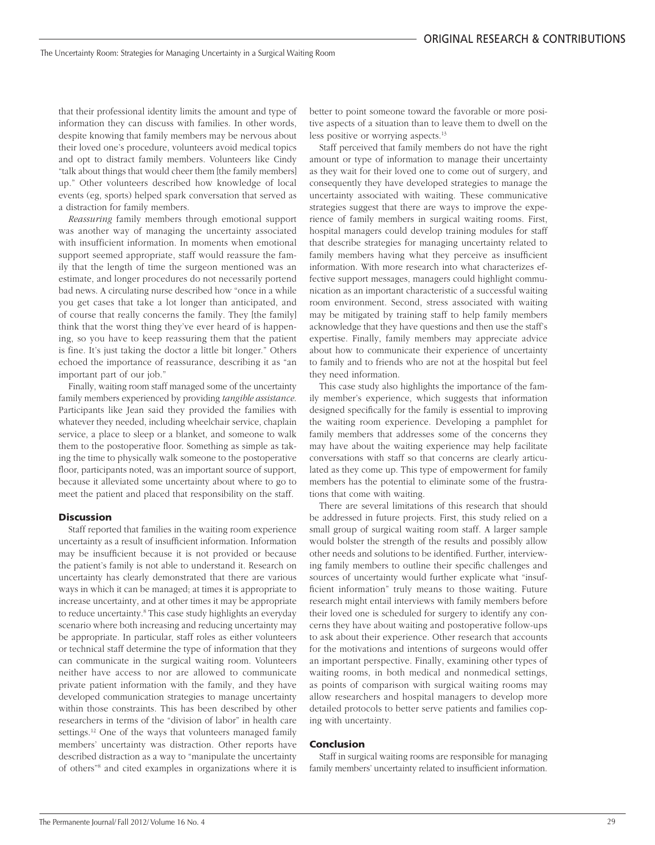that their professional identity limits the amount and type of information they can discuss with families. In other words, despite knowing that family members may be nervous about their loved one's procedure, volunteers avoid medical topics and opt to distract family members. Volunteers like Cindy "talk about things that would cheer them [the family members] up." Other volunteers described how knowledge of local events (eg, sports) helped spark conversation that served as a distraction for family members.

*Reassuring* family members through emotional support was another way of managing the uncertainty associated with insufficient information. In moments when emotional support seemed appropriate, staff would reassure the family that the length of time the surgeon mentioned was an estimate, and longer procedures do not necessarily portend bad news. A circulating nurse described how "once in a while you get cases that take a lot longer than anticipated, and of course that really concerns the family. They [the family] think that the worst thing they've ever heard of is happening, so you have to keep reassuring them that the patient is fine. It's just taking the doctor a little bit longer." Others echoed the importance of reassurance, describing it as "an important part of our job."

Finally, waiting room staff managed some of the uncertainty family members experienced by providing *tangible assistance*. Participants like Jean said they provided the families with whatever they needed, including wheelchair service, chaplain service, a place to sleep or a blanket, and someone to walk them to the postoperative floor. Something as simple as taking the time to physically walk someone to the postoperative floor, participants noted, was an important source of support, because it alleviated some uncertainty about where to go to meet the patient and placed that responsibility on the staff.

#### Discussion

Staff reported that families in the waiting room experience uncertainty as a result of insufficient information. Information may be insufficient because it is not provided or because the patient's family is not able to understand it. Research on uncertainty has clearly demonstrated that there are various ways in which it can be managed; at times it is appropriate to increase uncertainty, and at other times it may be appropriate to reduce uncertainty.8 This case study highlights an everyday scenario where both increasing and reducing uncertainty may be appropriate. In particular, staff roles as either volunteers or technical staff determine the type of information that they can communicate in the surgical waiting room. Volunteers neither have access to nor are allowed to communicate private patient information with the family, and they have developed communication strategies to manage uncertainty within those constraints. This has been described by other researchers in terms of the "division of labor" in health care settings.<sup>12</sup> One of the ways that volunteers managed family members' uncertainty was distraction. Other reports have described distraction as a way to "manipulate the uncertainty of others"8 and cited examples in organizations where it is better to point someone toward the favorable or more positive aspects of a situation than to leave them to dwell on the less positive or worrying aspects.<sup>13</sup>

Staff perceived that family members do not have the right amount or type of information to manage their uncertainty as they wait for their loved one to come out of surgery, and consequently they have developed strategies to manage the uncertainty associated with waiting. These communicative strategies suggest that there are ways to improve the experience of family members in surgical waiting rooms. First, hospital managers could develop training modules for staff that describe strategies for managing uncertainty related to family members having what they perceive as insufficient information. With more research into what characterizes effective support messages, managers could highlight communication as an important characteristic of a successful waiting room environment. Second, stress associated with waiting may be mitigated by training staff to help family members acknowledge that they have questions and then use the staff's expertise. Finally, family members may appreciate advice about how to communicate their experience of uncertainty to family and to friends who are not at the hospital but feel they need information.

This case study also highlights the importance of the family member's experience, which suggests that information designed specifically for the family is essential to improving the waiting room experience. Developing a pamphlet for family members that addresses some of the concerns they may have about the waiting experience may help facilitate conversations with staff so that concerns are clearly articulated as they come up. This type of empowerment for family members has the potential to eliminate some of the frustrations that come with waiting.

There are several limitations of this research that should be addressed in future projects. First, this study relied on a small group of surgical waiting room staff. A larger sample would bolster the strength of the results and possibly allow other needs and solutions to be identified. Further, interviewing family members to outline their specific challenges and sources of uncertainty would further explicate what "insufficient information" truly means to those waiting. Future research might entail interviews with family members before their loved one is scheduled for surgery to identify any concerns they have about waiting and postoperative follow-ups to ask about their experience. Other research that accounts for the motivations and intentions of surgeons would offer an important perspective. Finally, examining other types of waiting rooms, in both medical and nonmedical settings, as points of comparison with surgical waiting rooms may allow researchers and hospital managers to develop more detailed protocols to better serve patients and families coping with uncertainty.

### Conclusion

Staff in surgical waiting rooms are responsible for managing family members' uncertainty related to insufficient information.